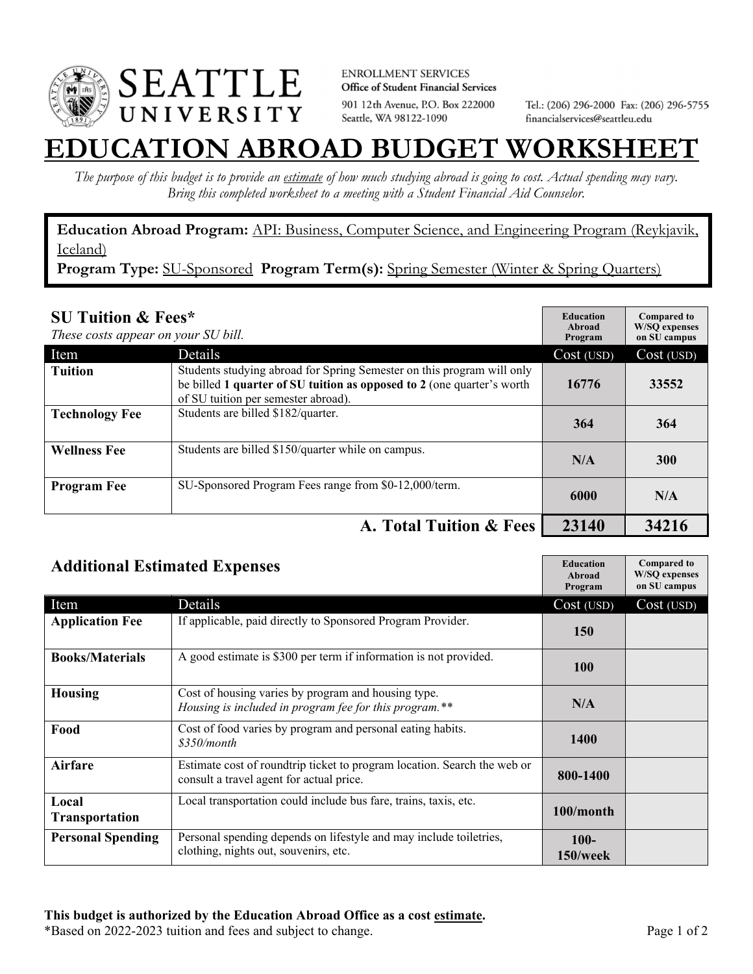

**ENROLLMENT SERVICES** Office of Student Financial Services 901 12th Avenue, P.O. Box 222000 Seattle, WA 98122-1090

Tel.: (206) 296-2000 Fax: (206) 296-5755 financialservices@seattleu.edu

## **EATION ABROAD BUDGET WORKSHEI**

*The purpose of this budget is to provide an estimate of how much studying abroad is going to cost. Actual spending may vary. Bring this completed worksheet to a meeting with a Student Financial Aid Counselor.* 

**Education Abroad Program:** API: Business, Computer Science, and Engineering Program (Reykjavik, Iceland)

Program Type: SU-Sponsored Program Term(s): Spring Semester (Winter & Spring Quarters)

| <b>SU Tuition &amp; Fees*</b><br>These costs appear on your SU bill. |                                                                                                                                                                                         | <b>Education</b><br>Abroad<br>Program | <b>Compared to</b><br><b>W/SO</b> expenses<br>on SU campus |
|----------------------------------------------------------------------|-----------------------------------------------------------------------------------------------------------------------------------------------------------------------------------------|---------------------------------------|------------------------------------------------------------|
| Item                                                                 | Details                                                                                                                                                                                 | Cost (USD)                            | Cost (USD)                                                 |
| <b>Tuition</b>                                                       | Students studying abroad for Spring Semester on this program will only<br>be billed 1 quarter of SU tuition as opposed to 2 (one quarter's worth<br>of SU tuition per semester abroad). | 16776                                 | 33552                                                      |
| <b>Technology Fee</b>                                                | Students are billed \$182/quarter.                                                                                                                                                      | 364                                   | 364                                                        |
| <b>Wellness Fee</b>                                                  | Students are billed \$150/quarter while on campus.                                                                                                                                      | N/A                                   | 300                                                        |
| <b>Program Fee</b>                                                   | SU-Sponsored Program Fees range from \$0-12,000/term.                                                                                                                                   | 6000                                  | N/A                                                        |
|                                                                      | A. Total Tuition & Fees                                                                                                                                                                 | 23140                                 | 34216                                                      |

| <b>Additional Estimated Expenses</b> |                                                                                                                      | <b>Education</b><br>Abroad<br>Program | <b>Compared to</b><br><b>W/SQ</b> expenses<br>on SU campus |
|--------------------------------------|----------------------------------------------------------------------------------------------------------------------|---------------------------------------|------------------------------------------------------------|
| Item                                 | Details                                                                                                              | Cost (USD)                            | Cost (USD)                                                 |
| <b>Application Fee</b>               | If applicable, paid directly to Sponsored Program Provider.                                                          | <b>150</b>                            |                                                            |
| <b>Books/Materials</b>               | A good estimate is \$300 per term if information is not provided.                                                    | <b>100</b>                            |                                                            |
| Housing                              | Cost of housing varies by program and housing type.<br>Housing is included in program fee for this program.**        | N/A                                   |                                                            |
| Food                                 | Cost of food varies by program and personal eating habits.<br>\$350/month                                            | 1400                                  |                                                            |
| <b>Airfare</b>                       | Estimate cost of roundtrip ticket to program location. Search the web or<br>consult a travel agent for actual price. | 800-1400                              |                                                            |
| Local<br><b>Transportation</b>       | Local transportation could include bus fare, trains, taxis, etc.                                                     | 100/month                             |                                                            |
| <b>Personal Spending</b>             | Personal spending depends on lifestyle and may include toiletries,<br>clothing, nights out, souvenirs, etc.          | $100-$<br>$150$ /week                 |                                                            |